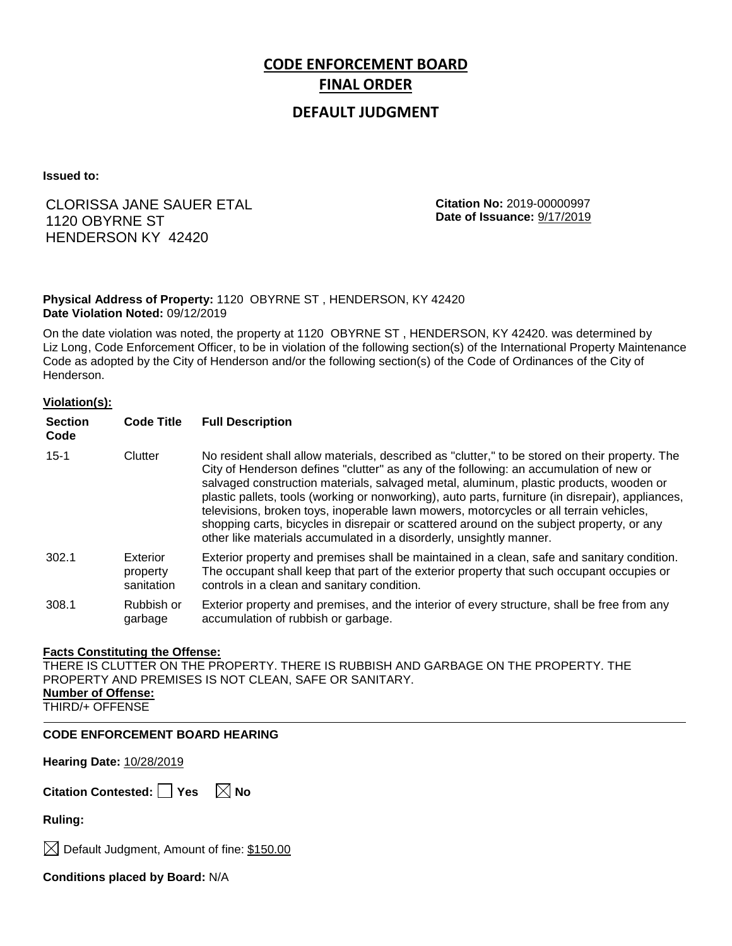# **CODE ENFORCEMENT BOARD FINAL ORDER**

# **DEFAULT JUDGMENT**

**Issued to:**

# CLORISSA JANE SAUER ETAL 1120 OBYRNE ST HENDERSON KY 42420

**Citation No:** 2019-00000997 **Date of Issuance:** 9/17/2019

## **Physical Address of Property:** 1120 OBYRNE ST , HENDERSON, KY 42420 **Date Violation Noted:** 09/12/2019

On the date violation was noted, the property at 1120 OBYRNE ST , HENDERSON, KY 42420. was determined by Liz Long, Code Enforcement Officer, to be in violation of the following section(s) of the International Property Maintenance Code as adopted by the City of Henderson and/or the following section(s) of the Code of Ordinances of the City of Henderson.

## **Violation(s):**

| <b>Section</b><br>Code | <b>Code Title</b>                  | <b>Full Description</b>                                                                                                                                                                                                                                                                                                                                                                                                                                                                                                                                                                                                                               |
|------------------------|------------------------------------|-------------------------------------------------------------------------------------------------------------------------------------------------------------------------------------------------------------------------------------------------------------------------------------------------------------------------------------------------------------------------------------------------------------------------------------------------------------------------------------------------------------------------------------------------------------------------------------------------------------------------------------------------------|
| $15 - 1$               | Clutter                            | No resident shall allow materials, described as "clutter," to be stored on their property. The<br>City of Henderson defines "clutter" as any of the following: an accumulation of new or<br>salvaged construction materials, salvaged metal, aluminum, plastic products, wooden or<br>plastic pallets, tools (working or nonworking), auto parts, furniture (in disrepair), appliances,<br>televisions, broken toys, inoperable lawn mowers, motorcycles or all terrain vehicles,<br>shopping carts, bicycles in disrepair or scattered around on the subject property, or any<br>other like materials accumulated in a disorderly, unsightly manner. |
| 302.1                  | Exterior<br>property<br>sanitation | Exterior property and premises shall be maintained in a clean, safe and sanitary condition.<br>The occupant shall keep that part of the exterior property that such occupant occupies or<br>controls in a clean and sanitary condition.                                                                                                                                                                                                                                                                                                                                                                                                               |
| 308.1                  | Rubbish or<br>garbage              | Exterior property and premises, and the interior of every structure, shall be free from any<br>accumulation of rubbish or garbage.                                                                                                                                                                                                                                                                                                                                                                                                                                                                                                                    |

## **Facts Constituting the Offense:**

THERE IS CLUTTER ON THE PROPERTY. THERE IS RUBBISH AND GARBAGE ON THE PROPERTY. THE PROPERTY AND PREMISES IS NOT CLEAN, SAFE OR SANITARY. **Number of Offense:** THIRD/+ OFFENSE

## **CODE ENFORCEMENT BOARD HEARING**

**Hearing Date:** 10/28/2019

**Citation Contested:** □ Yes  $\ \ \mathbb{X}$  No

**Ruling:**

 $\bowtie$  Default Judgment, Amount of fine: \$150.00

**Conditions placed by Board:** N/A